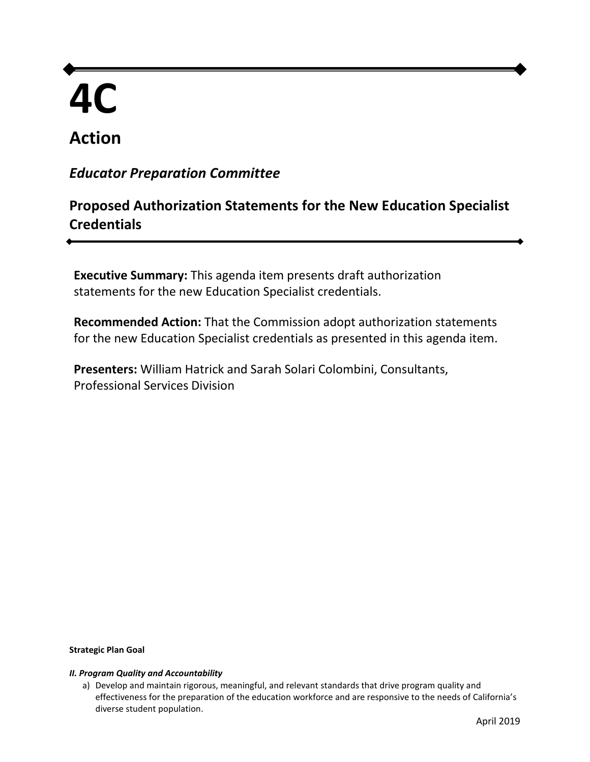# **4C**

# **Action**

# *Educator Preparation Committee*

# **Proposed Authorization Statements for the New Education Specialist Credentials**

 **Executive Summary:** This agenda item presents draft authorization statements for the new Education Specialist credentials.

 for the new Education Specialist credentials as presented in this agenda item. **Recommended Action:** That the Commission adopt authorization statements

 **Presenters:** William Hatrick and Sarah Solari Colombini, Consultants, Professional Services Division

#### **Strategic Plan Goal**

#### *II. Program Quality and Accountability*

a) Develop and maintain rigorous, meaningful, and relevant standards that drive program quality and effectiveness for the preparation of the education workforce and are responsive to the needs of California's diverse student population.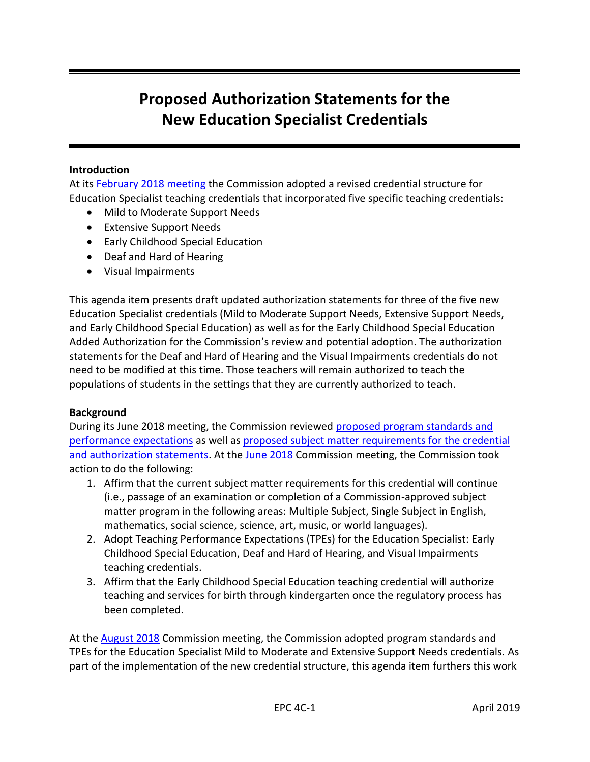# **Proposed Authorization Statements for the New Education Specialist Credentials**

# **Introduction**

At its [February 2018 meeting](https://www.ctc.ca.gov/docs/default-source/commission/agendas/2018-02/2018-02-4b.pdf?sfvrsn=66b456b1_2) the Commission adopted a revised credential structure for Education Specialist teaching credentials that incorporated five specific teaching credentials:

- Mild to Moderate Support Needs
- **•** Extensive Support Needs
- Early Childhood Special Education
- Deaf and Hard of Hearing
- Visual Impairments

 This agenda item presents draft updated authorization statements for three of the five new Education Specialist credentials (Mild to Moderate Support Needs, Extensive Support Needs, and Early Childhood Special Education) as well as for the Early Childhood Special Education Added Authorization for the Commission's review and potential adoption. The authorization statements for the Deaf and Hard of Hearing and the Visual Impairments credentials do not need to be modified at this time. Those teachers will remain authorized to teach the populations of students in the settings that they are currently authorized to teach.

## **Background**

During its June 2018 meeting, the Commission reviewed **proposed program standards and** [performance expectations](https://www.ctc.ca.gov/docs/default-source/commission/agendas/2018-06/2018-06-4g.pdf?sfvrsn=ce1a51b1_2) as well as proposed subject matter requirements for the credential and authorization statements</u>. At the [June 2018](https://www.ctc.ca.gov/docs/default-source/commission/agendas/2018-06/2018-06-4h.pdf?sfvrsn=d11a51b1_2) Commission meeting, the Commission took action to do the following:

- 1. Affirm that the current subject matter requirements for this credential will continue (i.e., passage of an examination or completion of a Commission-approved subject matter program in the following areas: Multiple Subject, Single Subject in English, mathematics, social science, science, art, music, or world languages).
- 2. Adopt Teaching Performance Expectations (TPEs) for the Education Specialist: Early Childhood Special Education, Deaf and Hard of Hearing, and Visual Impairments teaching credentials.
- teaching credentials. 3. Affirm that the Early Childhood Special Education teaching credential will authorize teaching and services for birth through kindergarten once the regulatory process has been completed.

At the *August 2018* Commission meeting, the Commission adopted program standards and TPEs for the Education Specialist Mild to Moderate and Extensive Support Needs credentials. As part of the implementation of the new credential structure, this agenda item furthers this work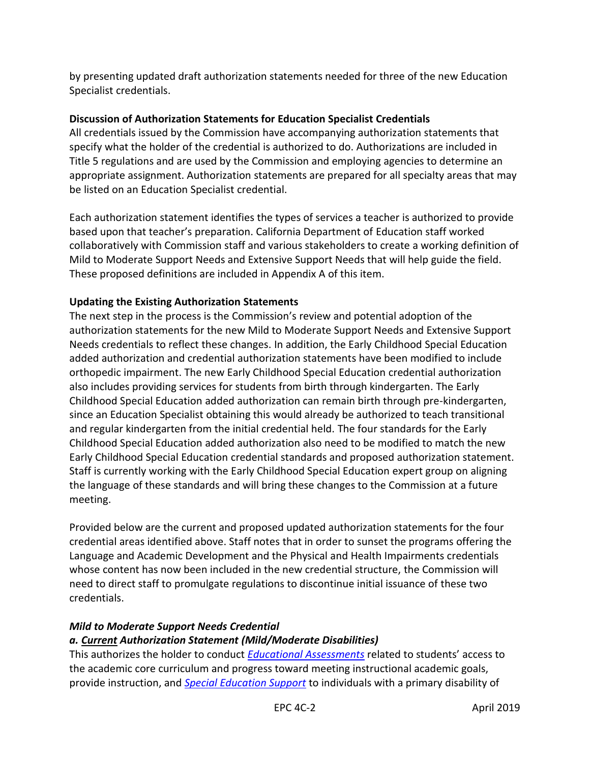by presenting updated draft authorization statements needed for three of the new Education Specialist credentials.

# **Discussion of Authorization Statements for Education Specialist Credentials**

 All credentials issued by the Commission have accompanying authorization statements that specify what the holder of the credential is authorized to do. Authorizations are included in Title 5 regulations and are used by the Commission and employing agencies to determine an appropriate assignment. Authorization statements are prepared for all specialty areas that may be listed on an Education Specialist credential.

 Each authorization statement identifies the types of services a teacher is authorized to provide based upon that teacher's preparation. California Department of Education staff worked collaboratively with Commission staff and various stakeholders to create a working definition of Mild to Moderate Support Needs and Extensive Support Needs that will help guide the field. These proposed definitions are included in Appendix A of this item.

# **Updating the Existing Authorization Statements**

 The next step in the process is the Commission's review and potential adoption of the authorization statements for the new Mild to Moderate Support Needs and Extensive Support Needs credentials to reflect these changes. In addition, the Early Childhood Special Education added authorization and credential authorization statements have been modified to include orthopedic impairment. The new Early Childhood Special Education credential authorization also includes providing services for students from birth through kindergarten. The Early Childhood Special Education added authorization can remain birth through pre-kindergarten, since an Education Specialist obtaining this would already be authorized to teach transitional and regular kindergarten from the initial credential held. The four standards for the Early Childhood Special Education added authorization also need to be modified to match the new Early Childhood Special Education credential standards and proposed authorization statement. Staff is currently working with the Early Childhood Special Education expert group on aligning the language of these standards and will bring these changes to the Commission at a future meeting.

 Provided below are the current and proposed updated authorization statements for the four credential areas identified above. Staff notes that in order to sunset the programs offering the Language and Academic Development and the Physical and Health Impairments credentials whose content has now been included in the new credential structure, the Commission will need to direct staff to promulgate regulations to discontinue initial issuance of these two credentials.

## **Mild to Moderate Support Needs Credential**

# *Mild to Moderate Support Needs Credential a. Current Authorization Statement (Mild/Moderate Disabilities)*

 This authorizes the holder to conduct *[Educational Assessments](https://govt.westlaw.com/calregs/Document/I8ABC73900C5011E3BBEF8606DB9AA745?viewType=FullText&originationContext=documenttoc&transitionType=CategoryPageItem&contextData=(sc.Default))* related to students' access to the academic core curriculum and progress toward meeting instructional academic goals, provide instruction, and *[Special Education Support](https://govt.westlaw.com/calregs/Document/I8ABC73900C5011E3BBEF8606DB9AA745?viewType=FullText&originationContext=documenttoc&transitionType=CategoryPageItem&contextData=(sc.Default))* to individuals with a primary disability of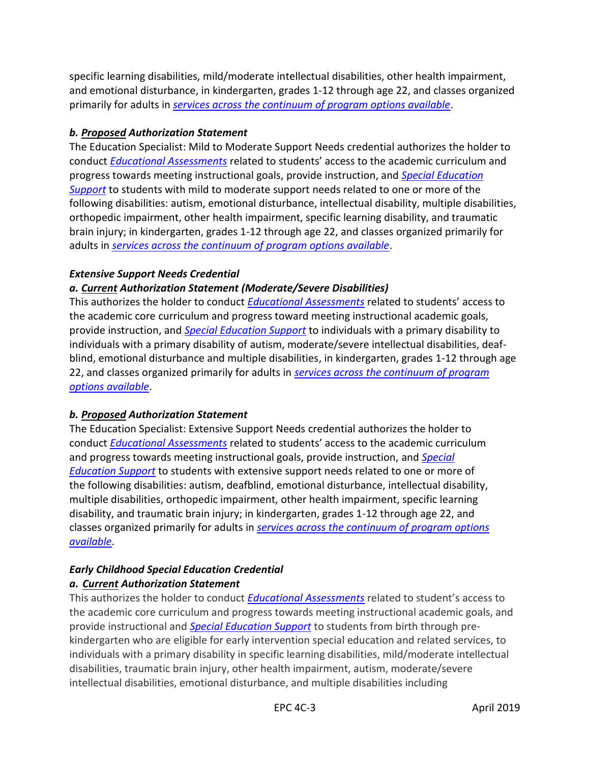specific learning disabilities, mild/moderate intellectual disabilities, other health impairment, and emotional disturbance, in kindergarten, grades 1-12 through age 22, and classes organized primarily for adults in *[services across the continuum of program options available](https://govt.westlaw.com/calregs/Document/I8ABC73900C5011E3BBEF8606DB9AA745?viewType=FullText&originationContext=documenttoc&transitionType=CategoryPageItem&contextData=(sc.Default))*.

# *b. Proposed Authorization Statement*

 conduct *[Educational Assessments](https://govt.westlaw.com/calregs/Document/I8ABC73900C5011E3BBEF8606DB9AA745?viewType=FullText&originationContext=documenttoc&transitionType=CategoryPageItem&contextData=(sc.Default))* related to students' access to the academic curriculum and progress towards meeting instructional goals, provide instruction, and *[Special Education](https://govt.westlaw.com/calregs/Document/I8ABC73900C5011E3BBEF8606DB9AA745?viewType=FullText&originationContext=documenttoc&transitionType=CategoryPageItem&contextData=(sc.Default))  [Support](https://govt.westlaw.com/calregs/Document/I8ABC73900C5011E3BBEF8606DB9AA745?viewType=FullText&originationContext=documenttoc&transitionType=CategoryPageItem&contextData=(sc.Default))* to students with mild to moderate support needs related to one or more of the following disabilities: autism, emotional disturbance, intellectual disability, multiple disabilities, brain injury; in kindergarten, grades 1-12 through age 22, and classes organized primarily for adults in *[services across the continuum of program options available](https://govt.westlaw.com/calregs/Document/I8ABC73900C5011E3BBEF8606DB9AA745?viewType=FullText&originationContext=documenttoc&transitionType=CategoryPageItem&contextData=(sc.Default))*. The Education Specialist: Mild to Moderate Support Needs credential authorizes the holder to orthopedic impairment, other health impairment, specific learning disability, and traumatic

# *Extensive Support Needs Credential*

# *a. Current Authorization Statement (Moderate/Severe Disabilities)*

 This authorizes the holder to conduct *[Educational Assessments](https://govt.westlaw.com/calregs/Document/I8ABC73900C5011E3BBEF8606DB9AA745?viewType=FullText&originationContext=documenttoc&transitionType=CategoryPageItem&contextData=(sc.Default))* related to students' access to the academic core curriculum and progress toward meeting instructional academic goals, provide instruction, and *[Special Education Support](https://govt.westlaw.com/calregs/Document/I8ABC73900C5011E3BBEF8606DB9AA745?viewType=FullText&originationContext=documenttoc&transitionType=CategoryPageItem&contextData=(sc.Default))* to individuals with a primary disability to individuals with a primary disability of autism, moderate/severe intellectual disabilities, deaf- blind, emotional disturbance and multiple disabilities, in kindergarten, grades 1-12 through age 22, and classes organized primarily for adults in *[services across the continuum of program](https://govt.westlaw.com/calregs/Document/I8ABC73900C5011E3BBEF8606DB9AA745?viewType=FullText&originationContext=documenttoc&transitionType=CategoryPageItem&contextData=(sc.Default))  [options available](https://govt.westlaw.com/calregs/Document/I8ABC73900C5011E3BBEF8606DB9AA745?viewType=FullText&originationContext=documenttoc&transitionType=CategoryPageItem&contextData=(sc.Default))*.

# *b. Proposed Authorization Statement*

 The Education Specialist: Extensive Support Needs credential authorizes the holder to conduct *[Educational Assessments](https://govt.westlaw.com/calregs/Document/I8ABC73900C5011E3BBEF8606DB9AA745?viewType=FullText&originationContext=documenttoc&transitionType=CategoryPageItem&contextData=(sc.Default))* related to students' access to the academic curriculum *[Education Support](https://govt.westlaw.com/calregs/Document/I8ABC73900C5011E3BBEF8606DB9AA745?viewType=FullText&originationContext=documenttoc&transitionType=CategoryPageItem&contextData=(sc.Default))* to students with extensive support needs related to one or more of multiple disabilities, orthopedic impairment, other health impairment, specific learning disability, and traumatic brain injury; in kindergarten, grades 1-12 through age 22, and classes organized primarily for adults in *[services across the continuum of program options](https://govt.westlaw.com/calregs/Document/I8ABC73900C5011E3BBEF8606DB9AA745?viewType=FullText&originationContext=documenttoc&transitionType=CategoryPageItem&contextData=(sc.Default))*  and progress towards meeting instructional goals, provide instruction, and *[Special](https://govt.westlaw.com/calregs/Document/I8ABC73900C5011E3BBEF8606DB9AA745?viewType=FullText&originationContext=documenttoc&transitionType=CategoryPageItem&contextData=(sc.Default))*  the following disabilities: autism, deafblind, emotional disturbance, intellectual disability, *[available](https://govt.westlaw.com/calregs/Document/I8ABC73900C5011E3BBEF8606DB9AA745?viewType=FullText&originationContext=documenttoc&transitionType=CategoryPageItem&contextData=(sc.Default))*.

# *Early Childhood Special Education Credential a. Current Authorization Statement*

 This authorizes the holder to conduct *[Educational Assessments](https://govt.westlaw.com/calregs/Document/I8ABC73900C5011E3BBEF8606DB9AA745?viewType=FullText&originationContext=documenttoc&transitionType=CategoryPageItem&contextData=(sc.Default))* related to student's access to the academic core curriculum and progress towards meeting instructional academic goals, and provide instructional and *[Special Education Support](https://govt.westlaw.com/calregs/Document/I8ABC73900C5011E3BBEF8606DB9AA745?viewType=FullText&originationContext=documenttoc&transitionType=CategoryPageItem&contextData=(sc.Default))* to students from birth through pre - kindergarten who are eligible for early intervention special education and related services, to individuals with a primary disability in specific learning disabilities, mild/moderate intellectual disabilities, traumatic brain injury, other health impairment, autism, moderate/severe intellectual disabilities, emotional disturbance, and multiple disabilities including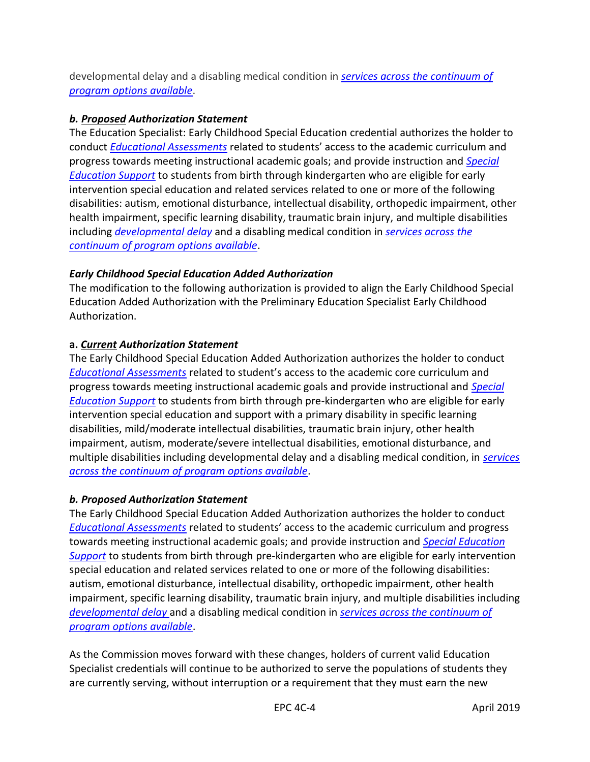developmental delay and a disabling medical condition in *[services across the continuum of](https://govt.westlaw.com/calregs/Document/I8ABC73900C5011E3BBEF8606DB9AA745?viewType=FullText&originationContext=documenttoc&transitionType=CategoryPageItem&contextData=(sc.Default))  [program options available](https://govt.westlaw.com/calregs/Document/I8ABC73900C5011E3BBEF8606DB9AA745?viewType=FullText&originationContext=documenttoc&transitionType=CategoryPageItem&contextData=(sc.Default))*.

# *b. Proposed Authorization Statement*

 The Education Specialist: Early Childhood Special Education credential authorizes the holder to conduct *[Educational Assessments](https://govt.westlaw.com/calregs/Document/I8ABC73900C5011E3BBEF8606DB9AA745?viewType=FullText&originationContext=documenttoc&transitionType=CategoryPageItem&contextData=(sc.Default))* related to students' access to the academic curriculum and progress towards meeting instructional academic goals; and provide instruction and *[Special](https://govt.westlaw.com/calregs/Document/I8ABC73900C5011E3BBEF8606DB9AA745?viewType=FullText&originationContext=documenttoc&transitionType=CategoryPageItem&contextData=(sc.Default))  [Education Support](https://govt.westlaw.com/calregs/Document/I8ABC73900C5011E3BBEF8606DB9AA745?viewType=FullText&originationContext=documenttoc&transitionType=CategoryPageItem&contextData=(sc.Default))* to students from birth through kindergarten who are eligible for early intervention special education and related services related to one or more of the following disabilities: autism, emotional disturbance, intellectual disability, orthopedic impairment, other health impairment, specific learning disability, traumatic brain injury, and multiple disabilities including *[developmental delay](https://govt.westlaw.com/calregs/Document/I8ABC73900C5011E3BBEF8606DB9AA745?viewType=FullText&originationContext=documenttoc&transitionType=CategoryPageItem&contextData=(sc.Default))* and a disabling medical condition in *[services across the](https://govt.westlaw.com/calregs/Document/I8ABC73900C5011E3BBEF8606DB9AA745?viewType=FullText&originationContext=documenttoc&transitionType=CategoryPageItem&contextData=(sc.Default))  [continuum of program options available](https://govt.westlaw.com/calregs/Document/I8ABC73900C5011E3BBEF8606DB9AA745?viewType=FullText&originationContext=documenttoc&transitionType=CategoryPageItem&contextData=(sc.Default))*.

# *Early Childhood Special Education Added Authorization*

 The modification to the following authorization is provided to align the Early Childhood Special Education Added Authorization with the Preliminary Education Specialist Early Childhood Authorization.

# **a.** *Current Authorization Statement*

 The Early Childhood Special Education Added Authorization authorizes the holder to conduct *[Educational Assessments](https://govt.westlaw.com/calregs/Document/I8ABC73900C5011E3BBEF8606DB9AA745?viewType=FullText&originationContext=documenttoc&transitionType=CategoryPageItem&contextData=(sc.Default))* related to student's access to the academic core curriculum and progress towards meeting instructional academic goals and provide instructional and *[Special](https://govt.westlaw.com/calregs/Document/I8ABC73900C5011E3BBEF8606DB9AA745?viewType=FullText&originationContext=documenttoc&transitionType=CategoryPageItem&contextData=(sc.Default))  [Education Support](https://govt.westlaw.com/calregs/Document/I8ABC73900C5011E3BBEF8606DB9AA745?viewType=FullText&originationContext=documenttoc&transitionType=CategoryPageItem&contextData=(sc.Default))* to students from birth through pre-kindergarten who are eligible for early intervention special education and support with a primary disability in specific learning disabilities, mild/moderate intellectual disabilities, traumatic brain injury, other health impairment, autism, moderate/severe intellectual disabilities, emotional disturbance, and multiple disabilities including developmental delay and a disabling medical condition, in *[services](https://govt.westlaw.com/calregs/Document/I8ABC73900C5011E3BBEF8606DB9AA745?viewType=FullText&originationContext=documenttoc&transitionType=CategoryPageItem&contextData=(sc.Default))  [across the continuum of program options available](https://govt.westlaw.com/calregs/Document/I8ABC73900C5011E3BBEF8606DB9AA745?viewType=FullText&originationContext=documenttoc&transitionType=CategoryPageItem&contextData=(sc.Default))*.

# *b. Proposed Authorization Statement*

 The Early Childhood Special Education Added Authorization authorizes the holder to conduct *[Educational Assessments](https://govt.westlaw.com/calregs/Document/I8ABC73900C5011E3BBEF8606DB9AA745?viewType=FullText&originationContext=documenttoc&transitionType=CategoryPageItem&contextData=(sc.Default))* related to students' access to the academic curriculum and progress towards meeting instructional academic goals; and provide instruction and *[Special Education](https://govt.westlaw.com/calregs/Document/I8ABC73900C5011E3BBEF8606DB9AA745?viewType=FullText&originationContext=documenttoc&transitionType=CategoryPageItem&contextData=(sc.Default))  [Support](https://govt.westlaw.com/calregs/Document/I8ABC73900C5011E3BBEF8606DB9AA745?viewType=FullText&originationContext=documenttoc&transitionType=CategoryPageItem&contextData=(sc.Default))* to students from birth through pre-kindergarten who are eligible for early intervention special education and related services related to one or more of the following disabilities: autism, emotional disturbance, intellectual disability, orthopedic impairment, other health impairment, specific learning disability, traumatic brain injury, and multiple disabilities including *[developmental delay](https://govt.westlaw.com/calregs/Document/I8ABC73900C5011E3BBEF8606DB9AA745?viewType=FullText&originationContext=documenttoc&transitionType=CategoryPageItem&contextData=(sc.Default))* and a disabling medical condition in *[services across the continuum of](https://govt.westlaw.com/calregs/Document/I8ABC73900C5011E3BBEF8606DB9AA745?viewType=FullText&originationContext=documenttoc&transitionType=CategoryPageItem&contextData=(sc.Default))  [program options available](https://govt.westlaw.com/calregs/Document/I8ABC73900C5011E3BBEF8606DB9AA745?viewType=FullText&originationContext=documenttoc&transitionType=CategoryPageItem&contextData=(sc.Default))*.

 As the Commission moves forward with these changes, holders of current valid Education Specialist credentials will continue to be authorized to serve the populations of students they are currently serving, without interruption or a requirement that they must earn the new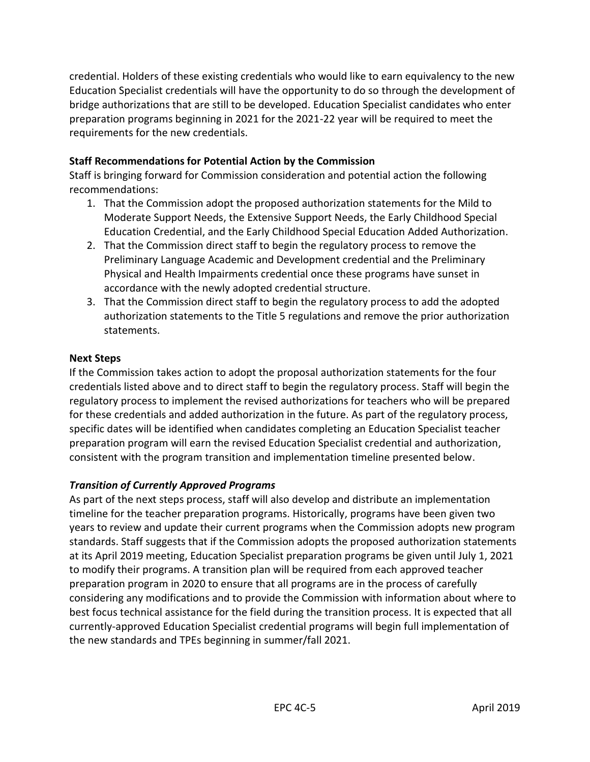credential. Holders of these existing credentials who would like to earn equivalency to the new Education Specialist credentials will have the opportunity to do so through the development of bridge authorizations that are still to be developed. Education Specialist candidates who enter preparation programs beginning in 2021 for the 2021-22 year will be required to meet the requirements for the new credentials.

# **Staff Recommendations for Potential Action by the Commission**

 Staff is bringing forward for Commission consideration and potential action the following recommendations:

- 1. That the Commission adopt the proposed authorization statements for the Mild to Moderate Support Needs, the Extensive Support Needs, the Early Childhood Special Education Credential, and the Early Childhood Special Education Added Authorization.
- 2. That the Commission direct staff to begin the regulatory process to remove the Physical and Health Impairments credential once these programs have sunset in accordance with the newly adopted credential structure. Preliminary Language Academic and Development credential and the Preliminary
- 3. That the Commission direct staff to begin the regulatory process to add the adopted authorization statements to the Title 5 regulations and remove the prior authorization statements.

## **Next Steps**

 If the Commission takes action to adopt the proposal authorization statements for the four credentials listed above and to direct staff to begin the regulatory process. Staff will begin the regulatory process to implement the revised authorizations for teachers who will be prepared for these credentials and added authorization in the future. As part of the regulatory process, specific dates will be identified when candidates completing an Education Specialist teacher preparation program will earn the revised Education Specialist credential and authorization, consistent with the program transition and implementation timeline presented below.

## *Transition of Currently Approved Programs*

 As part of the next steps process, staff will also develop and distribute an implementation timeline for the teacher preparation programs. Historically, programs have been given two years to review and update their current programs when the Commission adopts new program standards. Staff suggests that if the Commission adopts the proposed authorization statements at its April 2019 meeting, Education Specialist preparation programs be given until July 1, 2021 to modify their programs. A transition plan will be required from each approved teacher preparation program in 2020 to ensure that all programs are in the process of carefully considering any modifications and to provide the Commission with information about where to best focus technical assistance for the field during the transition process. It is expected that all currently-approved Education Specialist credential programs will begin full implementation of the new standards and TPEs beginning in summer/fall 2021.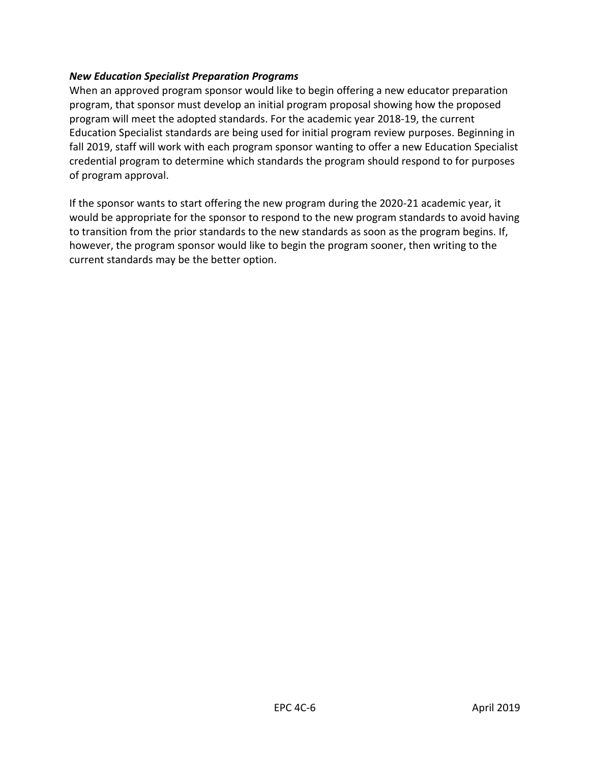#### *New Education Specialist Preparation Programs*

 When an approved program sponsor would like to begin offering a new educator preparation program, that sponsor must develop an initial program proposal showing how the proposed program will meet the adopted standards. For the academic year 2018-19, the current Education Specialist standards are being used for initial program review purposes. Beginning in fall 2019, staff will work with each program sponsor wanting to offer a new Education Specialist credential program to determine which standards the program should respond to for purposes of program approval.

 If the sponsor wants to start offering the new program during the 2020-21 academic year, it would be appropriate for the sponsor to respond to the new program standards to avoid having to transition from the prior standards to the new standards as soon as the program begins. If, however, the program sponsor would like to begin the program sooner, then writing to the current standards may be the better option.